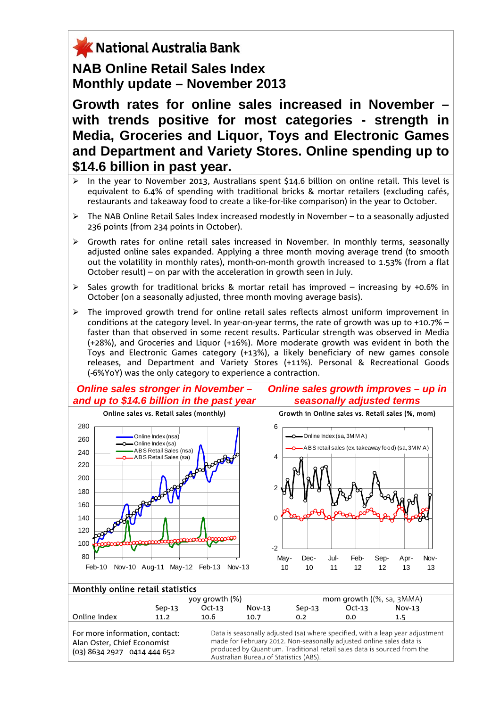## X National Australia Bank **NAB Online Retail Sales Index Monthly update – November 2013**

**Growth rates for online sales increased in November – with trends positive for most categories - strength in Media, Groceries and Liquor, Toys and Electronic Games and Department and Variety Stores. Online spending up to \$14.6 billion in past year.** 

- In the vear to November 2013, Australians spent \$14.6 billion on online retail. This level is equivalent to 6.4% of spending with traditional bricks & mortar retailers (excluding cafés, restaurants and takeaway food to create a like-for-like comparison) in the year to October.
- $\triangleright$  The NAB Online Retail Sales Index increased modestly in November to a seasonally adjusted 236 points (from 234 points in October).
- $\triangleright$  Growth rates for online retail sales increased in November. In monthly terms, seasonally adjusted online sales expanded. Applying a three month moving average trend (to smooth out the volatility in monthly rates), month-on-month growth increased to 1.53% (from a flat October result) – on par with the acceleration in growth seen in July.
- $\triangleright$  Sales growth for traditional bricks & mortar retail has improved increasing by +0.6% in October (on a seasonally adjusted, three month moving average basis).
- $\triangleright$  The improved growth trend for online retail sales reflects almost uniform improvement in conditions at the category level. In year-on-year terms, the rate of growth was up to +10.7% – faster than that observed in some recent results. Particular strength was observed in Media (+28%), and Groceries and Liquor (+16%). More moderate growth was evident in both the Toys and Electronic Games category (+13%), a likely beneficiary of new games console releases, and Department and Variety Stores (+11%). Personal & Recreational Goods (-6%YoY) was the only category to experience a contraction.

*Online sales stronger in November – and up to \$14.6 billion in the past year* 

*Online sales growth improves – up in seasonally adjusted terms*